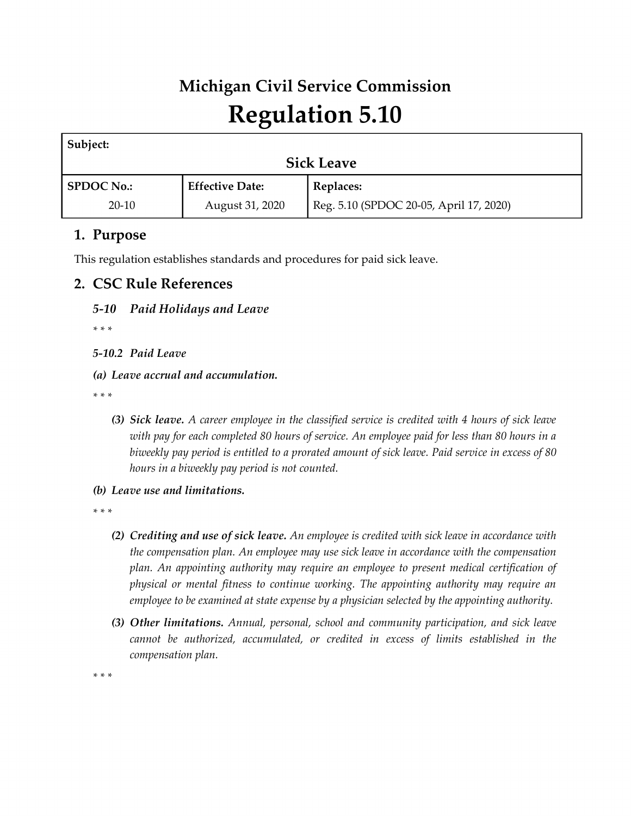# **Michigan Civil Service Commission Regulation 5.10**

| Subject:          |                        |                                         |  |  |  |
|-------------------|------------------------|-----------------------------------------|--|--|--|
| <b>Sick Leave</b> |                        |                                         |  |  |  |
| <b>SPDOC No.:</b> | <b>Effective Date:</b> | Replaces:                               |  |  |  |
| $20-10$           | August 31, 2020        | Reg. 5.10 (SPDOC 20-05, April 17, 2020) |  |  |  |

# **1. Purpose**

This regulation establishes standards and procedures for paid sick leave.

## **2. CSC Rule References**

### *5-10 Paid Holidays and Leave*

*\* \* \** 

*5-10.2 Paid Leave*

*(a) Leave accrual and accumulation.*

*\* \* \** 

- *(3) Sick leave. A career employee in the classified service is credited with 4 hours of sick leave with pay for each completed 80 hours of service. An employee paid for less than 80 hours in a biweekly pay period is entitled to a prorated amount of sick leave. Paid service in excess of 80 hours in a biweekly pay period is not counted.*
- *(b) Leave use and limitations.*

*\* \* \** 

- *(2) Crediting and use of sick leave. An employee is credited with sick leave in accordance with the compensation plan. An employee may use sick leave in accordance with the compensation plan. An appointing authority may require an employee to present medical certification of physical or mental fitness to continue working. The appointing authority may require an employee to be examined at state expense by a physician selected by the appointing authority.*
- *(3) Other limitations. Annual, personal, school and community participation, and sick leave cannot be authorized, accumulated, or credited in excess of limits established in the compensation plan.*

*\* \* \**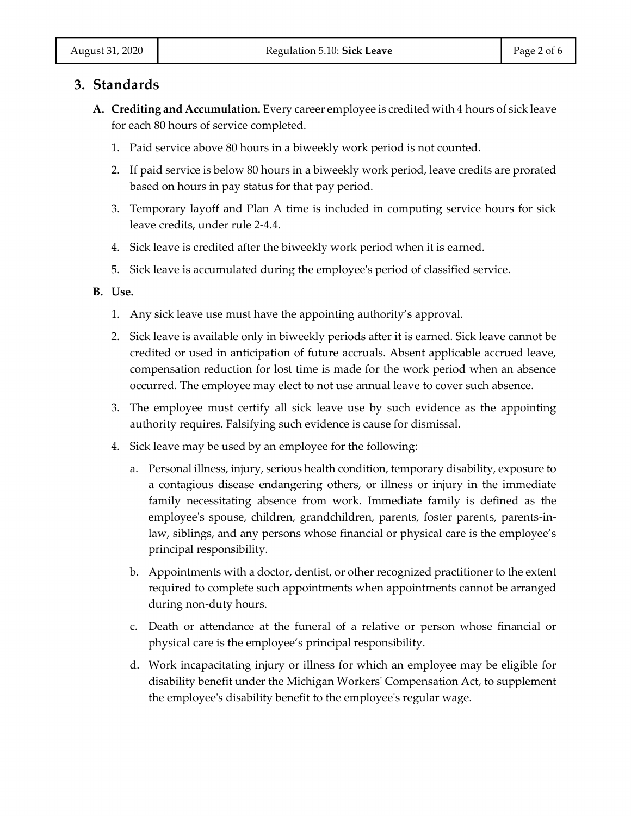## **3. Standards**

- **A. Crediting and Accumulation.** Every career employee is credited with 4 hours of sick leave for each 80 hours of service completed.
	- 1. Paid service above 80 hours in a biweekly work period is not counted.
	- 2. If paid service is below 80 hours in a biweekly work period, leave credits are prorated based on hours in pay status for that pay period.
	- 3. Temporary layoff and Plan A time is included in computing service hours for sick leave credits, under rule 2-4.4.
	- 4. Sick leave is credited after the biweekly work period when it is earned.
	- 5. Sick leave is accumulated during the employee's period of classified service.

#### **B. Use.**

- 1. Any sick leave use must have the appointing authority's approval.
- 2. Sick leave is available only in biweekly periods after it is earned. Sick leave cannot be credited or used in anticipation of future accruals. Absent applicable accrued leave, compensation reduction for lost time is made for the work period when an absence occurred. The employee may elect to not use annual leave to cover such absence.
- 3. The employee must certify all sick leave use by such evidence as the appointing authority requires. Falsifying such evidence is cause for dismissal.
- 4. Sick leave may be used by an employee for the following:
	- a. Personal illness, injury, serious health condition, temporary disability, exposure to a contagious disease endangering others, or illness or injury in the immediate family necessitating absence from work. Immediate family is defined as the employee's spouse, children, grandchildren, parents, foster parents, parents-inlaw, siblings, and any persons whose financial or physical care is the employee's principal responsibility.
	- b. Appointments with a doctor, dentist, or other recognized practitioner to the extent required to complete such appointments when appointments cannot be arranged during non-duty hours.
	- c. Death or attendance at the funeral of a relative or person whose financial or physical care is the employee's principal responsibility.
	- d. Work incapacitating injury or illness for which an employee may be eligible for disability benefit under the Michigan Workers' Compensation Act, to supplement the employee's disability benefit to the employee's regular wage.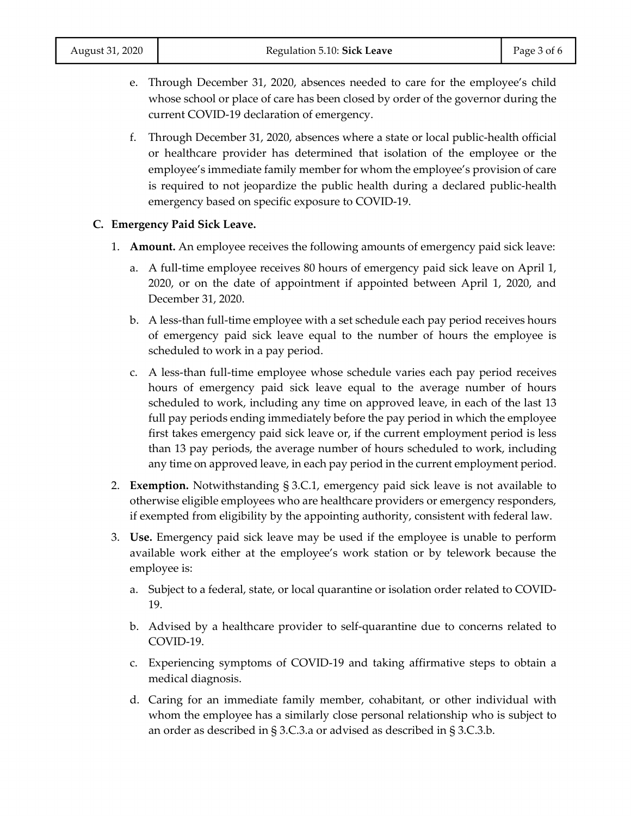- e. Through December 31, 2020, absences needed to care for the employee's child whose school or place of care has been closed by order of the governor during the current COVID-19 declaration of emergency.
- f. Through December 31, 2020, absences where a state or local public-health official or healthcare provider has determined that isolation of the employee or the employee's immediate family member for whom the employee's provision of care is required to not jeopardize the public health during a declared public-health emergency based on specific exposure to COVID-19.

#### **C. Emergency Paid Sick Leave.**

- 1. **Amount.** An employee receives the following amounts of emergency paid sick leave:
	- a. A full-time employee receives 80 hours of emergency paid sick leave on April 1, 2020, or on the date of appointment if appointed between April 1, 2020, and December 31, 2020.
	- b. A less-than full-time employee with a set schedule each pay period receives hours of emergency paid sick leave equal to the number of hours the employee is scheduled to work in a pay period.
	- c. A less-than full-time employee whose schedule varies each pay period receives hours of emergency paid sick leave equal to the average number of hours scheduled to work, including any time on approved leave, in each of the last 13 full pay periods ending immediately before the pay period in which the employee first takes emergency paid sick leave or, if the current employment period is less than 13 pay periods, the average number of hours scheduled to work, including any time on approved leave, in each pay period in the current employment period.
- 2. **Exemption.** Notwithstanding § 3.C.1, emergency paid sick leave is not available to otherwise eligible employees who are healthcare providers or emergency responders, if exempted from eligibility by the appointing authority, consistent with federal law.
- 3. **Use.** Emergency paid sick leave may be used if the employee is unable to perform available work either at the employee's work station or by telework because the employee is:
	- a. Subject to a federal, state, or local quarantine or isolation order related to COVID-19.
	- b. Advised by a healthcare provider to self-quarantine due to concerns related to COVID-19.
	- c. Experiencing symptoms of COVID-19 and taking affirmative steps to obtain a medical diagnosis.
	- d. Caring for an immediate family member, cohabitant, or other individual with whom the employee has a similarly close personal relationship who is subject to an order as described in § 3.C.3.a or advised as described in § 3.C.3.b.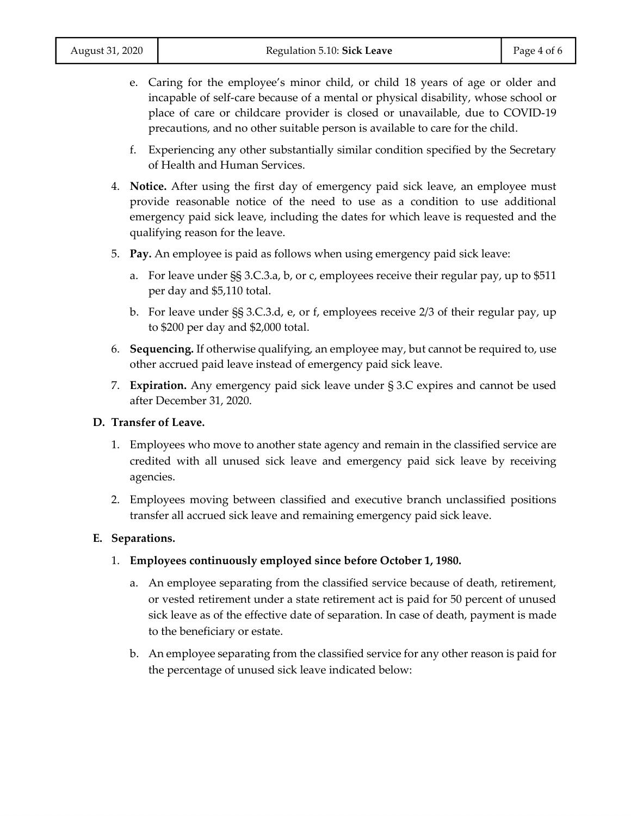- e. Caring for the employee's minor child, or child 18 years of age or older and incapable of self-care because of a mental or physical disability, whose school or place of care or childcare provider is closed or unavailable, due to COVID-19 precautions, and no other suitable person is available to care for the child.
- f. Experiencing any other substantially similar condition specified by the Secretary of Health and Human Services.
- 4. **Notice.** After using the first day of emergency paid sick leave, an employee must provide reasonable notice of the need to use as a condition to use additional emergency paid sick leave, including the dates for which leave is requested and the qualifying reason for the leave.
- 5. **Pay.** An employee is paid as follows when using emergency paid sick leave:
	- a. For leave under §§ 3.C.3.a, b, or c, employees receive their regular pay, up to \$511 per day and \$5,110 total.
	- b. For leave under §§ 3.C.3.d, e, or f, employees receive 2/3 of their regular pay, up to \$200 per day and \$2,000 total.
- 6. **Sequencing.** If otherwise qualifying, an employee may, but cannot be required to, use other accrued paid leave instead of emergency paid sick leave.
- 7. **Expiration.** Any emergency paid sick leave under § 3.C expires and cannot be used after December 31, 2020.

#### **D. Transfer of Leave.**

- 1. Employees who move to another state agency and remain in the classified service are credited with all unused sick leave and emergency paid sick leave by receiving agencies.
- 2. Employees moving between classified and executive branch unclassified positions transfer all accrued sick leave and remaining emergency paid sick leave.

#### **E. Separations.**

- 1. **Employees continuously employed since before October 1, 1980.**
	- a. An employee separating from the classified service because of death, retirement, or vested retirement under a state retirement act is paid for 50 percent of unused sick leave as of the effective date of separation. In case of death, payment is made to the beneficiary or estate.
	- b. An employee separating from the classified service for any other reason is paid for the percentage of unused sick leave indicated below: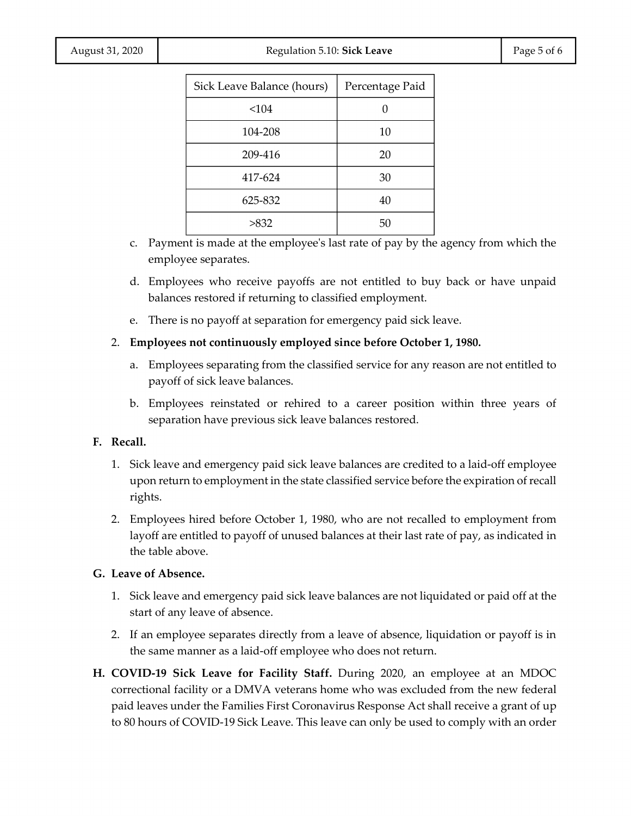| Page 5 of 6 |  |  |  |
|-------------|--|--|--|
|-------------|--|--|--|

| Sick Leave Balance (hours) | Percentage Paid |  |
|----------------------------|-----------------|--|
| < 104                      |                 |  |
| 104-208                    | 10              |  |
| 209-416                    | 20              |  |
| 417-624                    | 30              |  |
| 625-832                    | 40              |  |
| >832                       | 50              |  |

- c. Payment is made at the employee's last rate of pay by the agency from which the employee separates.
- d. Employees who receive payoffs are not entitled to buy back or have unpaid balances restored if returning to classified employment.
- e. There is no payoff at separation for emergency paid sick leave.
- 2. **Employees not continuously employed since before October 1, 1980.**
	- a. Employees separating from the classified service for any reason are not entitled to payoff of sick leave balances.
	- b. Employees reinstated or rehired to a career position within three years of separation have previous sick leave balances restored.

#### **F. Recall.**

- 1. Sick leave and emergency paid sick leave balances are credited to a laid-off employee upon return to employment in the state classified service before the expiration of recall rights.
- 2. Employees hired before October 1, 1980, who are not recalled to employment from layoff are entitled to payoff of unused balances at their last rate of pay, as indicated in the table above.

#### **G. Leave of Absence.**

- 1. Sick leave and emergency paid sick leave balances are not liquidated or paid off at the start of any leave of absence.
- 2. If an employee separates directly from a leave of absence, liquidation or payoff is in the same manner as a laid-off employee who does not return.
- **H. COVID-19 Sick Leave for Facility Staff.** During 2020, an employee at an MDOC correctional facility or a DMVA veterans home who was excluded from the new federal paid leaves under the Families First Coronavirus Response Act shall receive a grant of up to 80 hours of COVID-19 Sick Leave. This leave can only be used to comply with an order